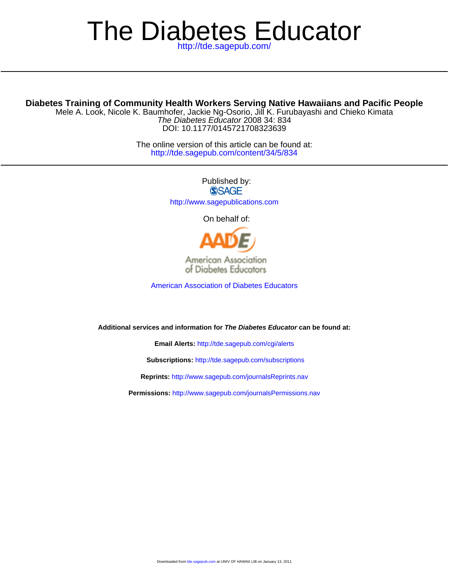# The Diabetes Educator

# **Diabetes Training of Community Health Workers Serving Native Hawaiians and Pacific People**

DOI: 10.1177/0145721708323639 The Diabetes Educator 2008 34: 834 Mele A. Look, Nicole K. Baumhofer, Jackie Ng-Osorio, Jill K. Furubayashi and Chieko Kimata

> <http://tde.sagepub.com/content/34/5/834> The online version of this article can be found at:

> > Published by: **SSAGE** <http://www.sagepublications.com>

> > > On behalf of:



[American Association of Diabetes Educators](http://www.diabeteseducator.org)

**Additional services and information for The Diabetes Educator can be found at:**

**Email Alerts:** <http://tde.sagepub.com/cgi/alerts>

**Subscriptions:** <http://tde.sagepub.com/subscriptions>

**Reprints:** <http://www.sagepub.com/journalsReprints.nav>

**Permissions:** <http://www.sagepub.com/journalsPermissions.nav>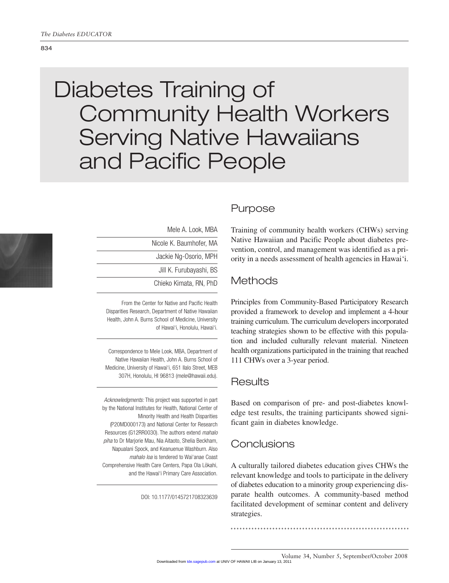#### 834

# Diabetes Training of Community Health Workers Serving Native Hawaiians and Pacific People



Mele A. Look, MBA Nicole K. Baumhofer, MA Jackie Ng-Osorio, MPH Jill K. Furubayashi, BS Chieko Kimata, RN, PhD

From the Center for Native and Pacific Health Disparities Research, Department of Native Hawaiian Health, John A. Burns School of Medicine, University of Hawai'i, Honolulu, Hawai'i.

Correspondence to Mele Look, MBA, Department of Native Hawaiian Health, John A. Burns School of Medicine, University of Hawai'i, 651 Ilalo Street, MEB 307H, Honolulu, HI 96813 (mele@hawaii.edu).

Acknowledgments: This project was supported in part by the National Institutes for Health, National Center of Minority Health and Health Disparities (P20MD000173) and National Center for Research Resources (G12RR0030). The authors extend mahalo piha to Dr Marjorie Mau, Nia Aitaoto, Shelia Beckham, Napualani Spock, and Keanuenue Washburn. Also mahalo loa is tendered to Wai'anae Coast Comprehensive Health Care Centers, Papa Ola Lōkahi, and the Hawai'i Primary Care Association.

#### DOI: 10.1177/0145721708323639

# Purpose

Training of community health workers (CHWs) serving Native Hawaiian and Pacific People about diabetes prevention, control, and management was identified as a priority in a needs assessment of health agencies in Hawai'i.

# **Methods**

Principles from Community-Based Participatory Research provided a framework to develop and implement a 4-hour training curriculum. The curriculum developers incorporated teaching strategies shown to be effective with this population and included culturally relevant material. Nineteen health organizations participated in the training that reached 111 CHWs over a 3-year period.

# Results

Based on comparison of pre- and post-diabetes knowledge test results, the training participants showed significant gain in diabetes knowledge.

# **Conclusions**

A culturally tailored diabetes education gives CHWs the relevant knowledge and tools to participate in the delivery of diabetes education to a minority group experiencing disparate health outcomes. A community-based method facilitated development of seminar content and delivery strategies.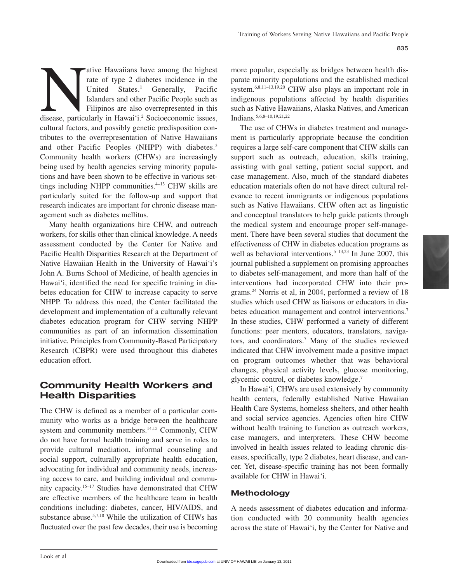ative Hawaiians have among the highest<br>
trate of type 2 diabetes incidence in the<br>
United States.<sup>1</sup> Generally, Pacific<br>
Islanders and other Pacific People such as<br>
Filipinos are also overrepresented in this<br>
disease, part rate of type 2 diabetes incidence in the United States.<sup>1</sup> Generally, Pacific Islanders and other Pacific People such as Filipinos are also overrepresented in this cultural factors, and possibly genetic predisposition contributes to the overrepresentation of Native Hawaiians and other Pacific Peoples (NHPP) with diabetes.<sup>3</sup> Community health workers (CHWs) are increasingly being used by health agencies serving minority populations and have been shown to be effective in various settings including NHPP communities. $4-13$  CHW skills are particularly suited for the follow-up and support that research indicates are important for chronic disease management such as diabetes mellitus.

Many health organizations hire CHW, and outreach workers, for skills other than clinical knowledge. A needs assessment conducted by the Center for Native and Pacific Health Disparities Research at the Department of Native Hawaiian Health in the University of Hawai'i's John A. Burns School of Medicine, of health agencies in Hawai'i, identified the need for specific training in diabetes education for CHW to increase capacity to serve NHPP. To address this need, the Center facilitated the development and implementation of a culturally relevant diabetes education program for CHW serving NHPP communities as part of an information dissemination initiative. Principles from Community-Based Participatory Research (CBPR) were used throughout this diabetes education effort.

# **Community Health Workers and Health Disparities**

The CHW is defined as a member of a particular community who works as a bridge between the healthcare system and community members.<sup>14,15</sup> Commonly, CHW do not have formal health training and serve in roles to provide cultural mediation, informal counseling and social support, culturally appropriate health education, advocating for individual and community needs, increasing access to care, and building individual and community capacity.15–17 Studies have demonstrated that CHW are effective members of the healthcare team in health conditions including: diabetes, cancer, HIV/AIDS, and substance abuse.<sup>5,7,18</sup> While the utilization of CHWs has fluctuated over the past few decades, their use is becoming

more popular, especially as bridges between health disparate minority populations and the established medical system.6,8,11–13,19,20 CHW also plays an important role in indigenous populations affected by health disparities such as Native Hawaiians, Alaska Natives, and American Indians.5,6,8–10,19,21,22

The use of CHWs in diabetes treatment and management is particularly appropriate because the condition requires a large self-care component that CHW skills can support such as outreach, education, skills training, assisting with goal setting, patient social support, and case management. Also, much of the standard diabetes education materials often do not have direct cultural relevance to recent immigrants or indigenous populations such as Native Hawaiians. CHW often act as linguistic and conceptual translators to help guide patients through the medical system and encourage proper self-management. There have been several studies that document the effectiveness of CHW in diabetes education programs as well as behavioral interventions.<sup>5-13,23</sup> In June 2007, this journal published a supplement on promising approaches to diabetes self-management, and more than half of the interventions had incorporated CHW into their programs.24 Norris et al, in 2004, performed a review of 18 studies which used CHW as liaisons or educators in diabetes education management and control interventions.<sup>7</sup> In these studies, CHW performed a variety of different functions: peer mentors, educators, translators, navigators, and coordinators.7 Many of the studies reviewed indicated that CHW involvement made a positive impact on program outcomes whether that was behavioral changes, physical activity levels, glucose monitoring, glycemic control, or diabetes knowledge.7

In Hawai'i, CHWs are used extensively by community health centers, federally established Native Hawaiian Health Care Systems, homeless shelters, and other health and social service agencies. Agencies often hire CHW without health training to function as outreach workers, case managers, and interpreters. These CHW become involved in health issues related to leading chronic diseases, specifically, type 2 diabetes, heart disease, and cancer. Yet, disease-specific training has not been formally available for CHW in Hawai'i.

#### **Methodology**

A needs assessment of diabetes education and information conducted with 20 community health agencies across the state of Hawai'i, by the Center for Native and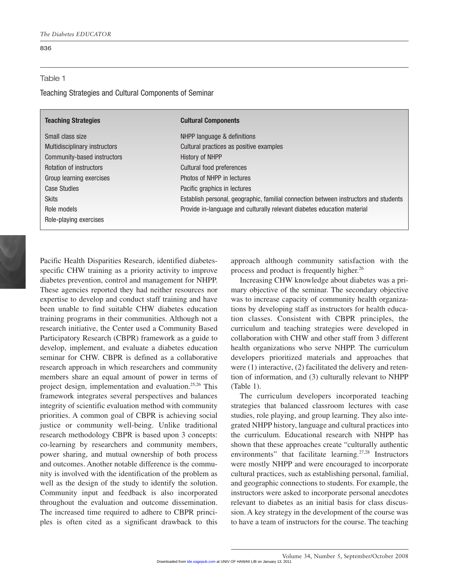#### 836

#### Table 1

Teaching Strategies and Cultural Components of Seminar

| <b>Teaching Strategies</b>    | <b>Cultural Components</b>                                                           |
|-------------------------------|--------------------------------------------------------------------------------------|
| Small class size              | NHPP language & definitions                                                          |
| Multidisciplinary instructors | Cultural practices as positive examples                                              |
| Community-based instructors   | History of NHPP                                                                      |
| Rotation of instructors       | Cultural food preferences                                                            |
| Group learning exercises      | Photos of NHPP in lectures                                                           |
| Case Studies                  | Pacific graphics in lectures                                                         |
| <b>Skits</b>                  | Establish personal, geographic, familial connection between instructors and students |
| Role models                   | Provide in-language and culturally relevant diabetes education material              |
| Role-playing exercises        |                                                                                      |
|                               |                                                                                      |

Pacific Health Disparities Research, identified diabetesspecific CHW training as a priority activity to improve diabetes prevention, control and management for NHPP. These agencies reported they had neither resources nor expertise to develop and conduct staff training and have been unable to find suitable CHW diabetes education training programs in their communities. Although not a research initiative, the Center used a Community Based Participatory Research (CBPR) framework as a guide to develop, implement, and evaluate a diabetes education seminar for CHW. CBPR is defined as a collaborative research approach in which researchers and community members share an equal amount of power in terms of project design, implementation and evaluation.25,26 This framework integrates several perspectives and balances integrity of scientific evaluation method with community priorities. A common goal of CBPR is achieving social justice or community well-being. Unlike traditional research methodology CBPR is based upon 3 concepts: co-learning by researchers and community members, power sharing, and mutual ownership of both process and outcomes. Another notable difference is the community is involved with the identification of the problem as well as the design of the study to identify the solution. Community input and feedback is also incorporated throughout the evaluation and outcome dissemination. The increased time required to adhere to CBPR principles is often cited as a significant drawback to this approach although community satisfaction with the process and product is frequently higher.<sup>26</sup>

Increasing CHW knowledge about diabetes was a primary objective of the seminar. The secondary objective was to increase capacity of community health organizations by developing staff as instructors for health education classes. Consistent with CBPR principles, the curriculum and teaching strategies were developed in collaboration with CHW and other staff from 3 different health organizations who serve NHPP. The curriculum developers prioritized materials and approaches that were (1) interactive, (2) facilitated the delivery and retention of information, and (3) culturally relevant to NHPP (Table 1).

The curriculum developers incorporated teaching strategies that balanced classroom lectures with case studies, role playing, and group learning. They also integrated NHPP history, language and cultural practices into the curriculum. Educational research with NHPP has shown that these approaches create "culturally authentic environments" that facilitate learning.<sup>27,28</sup> Instructors were mostly NHPP and were encouraged to incorporate cultural practices, such as establishing personal, familial, and geographic connections to students. For example, the instructors were asked to incorporate personal anecdotes relevant to diabetes as an initial basis for class discussion. A key strategy in the development of the course was to have a team of instructors for the course. The teaching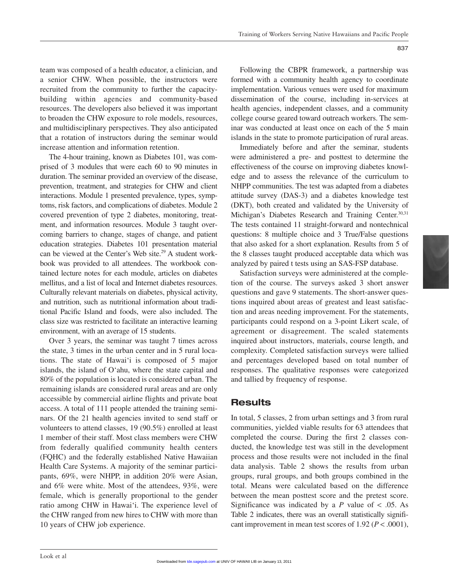team was composed of a health educator, a clinician, and a senior CHW. When possible, the instructors were recruited from the community to further the capacitybuilding within agencies and community-based resources. The developers also believed it was important to broaden the CHW exposure to role models, resources, and multidisciplinary perspectives. They also anticipated that a rotation of instructors during the seminar would increase attention and information retention.

The 4-hour training, known as Diabetes 101, was comprised of 3 modules that were each 60 to 90 minutes in duration. The seminar provided an overview of the disease, prevention, treatment, and strategies for CHW and client interactions. Module 1 presented prevalence, types, symptoms, risk factors, and complications of diabetes. Module 2 covered prevention of type 2 diabetes, monitoring, treatment, and information resources. Module 3 taught overcoming barriers to change, stages of change, and patient education strategies. Diabetes 101 presentation material can be viewed at the Center's Web site.<sup>29</sup> A student workbook was provided to all attendees. The workbook contained lecture notes for each module, articles on diabetes mellitus, and a list of local and Internet diabetes resources. Culturally relevant materials on diabetes, physical activity, and nutrition, such as nutritional information about traditional Pacific Island and foods, were also included. The class size was restricted to facilitate an interactive learning environment, with an average of 15 students.

Over 3 years, the seminar was taught 7 times across the state, 3 times in the urban center and in 5 rural locations. The state of Hawai'i is composed of 5 major islands, the island of O'ahu, where the state capital and 80% of the population is located is considered urban. The remaining islands are considered rural areas and are only accessible by commercial airline flights and private boat access. A total of 111 people attended the training seminars. Of the 21 health agencies invited to send staff or volunteers to attend classes, 19 (90.5%) enrolled at least 1 member of their staff. Most class members were CHW from federally qualified community health centers (FQHC) and the federally established Native Hawaiian Health Care Systems. A majority of the seminar participants, 69%, were NHPP, in addition 20% were Asian, and 6% were white. Most of the attendees, 93%, were female, which is generally proportional to the gender ratio among CHW in Hawai'i. The experience level of the CHW ranged from new hires to CHW with more than 10 years of CHW job experience.

Following the CBPR framework, a partnership was formed with a community health agency to coordinate implementation. Various venues were used for maximum dissemination of the course, including in-services at health agencies, independent classes, and a community college course geared toward outreach workers. The seminar was conducted at least once on each of the 5 main islands in the state to promote participation of rural areas.

Immediately before and after the seminar, students were administered a pre- and posttest to determine the effectiveness of the course on improving diabetes knowledge and to assess the relevance of the curriculum to NHPP communities. The test was adapted from a diabetes attitude survey (DAS-3) and a diabetes knowledge test (DKT), both created and validated by the University of Michigan's Diabetes Research and Training Center.<sup>30,31</sup> The tests contained 11 straight-forward and nontechnical questions: 8 multiple choice and 3 True/False questions that also asked for a short explanation. Results from 5 of the 8 classes taught produced acceptable data which was analyzed by paired t tests using an SAS-FSP database.

Satisfaction surveys were administered at the completion of the course. The surveys asked 3 short answer questions and gave 9 statements. The short-answer questions inquired about areas of greatest and least satisfaction and areas needing improvement. For the statements, participants could respond on a 3-point Likert scale, of agreement or disagreement. The scaled statements inquired about instructors, materials, course length, and complexity. Completed satisfaction surveys were tallied and percentages developed based on total number of responses. The qualitative responses were categorized and tallied by frequency of response.

## **Results**

In total, 5 classes, 2 from urban settings and 3 from rural communities, yielded viable results for 63 attendees that completed the course. During the first 2 classes conducted, the knowledge test was still in the development process and those results were not included in the final data analysis. Table 2 shows the results from urban groups, rural groups, and both groups combined in the total. Means were calculated based on the difference between the mean posttest score and the pretest score. Significance was indicated by a  $P$  value of  $\lt$  0.05. As Table 2 indicates, there was an overall statistically significant improvement in mean test scores of  $1.92 (P < .0001)$ ,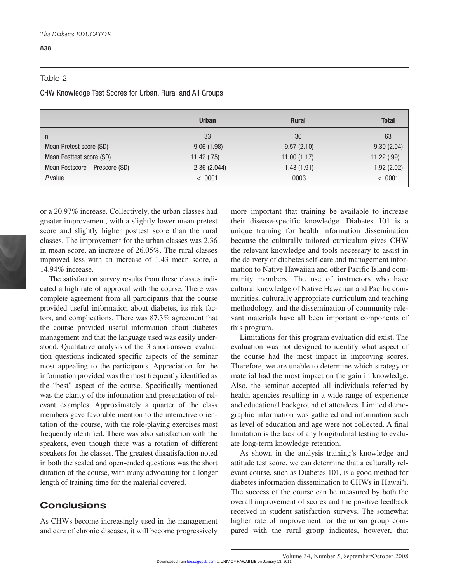#### 838

#### Table 2

CHW Knowledge Test Scores for Urban, Rural and All Groups

|                              | <b>Urban</b> | <b>Rural</b> | <b>Total</b> |
|------------------------------|--------------|--------------|--------------|
| $\mathsf{n}$                 | 33           | 30           | 63           |
| Mean Pretest score (SD)      | 9.06(1.98)   | 9.57(2.10)   | 9.30(2.04)   |
| Mean Posttest score (SD)     | 11.42(.75)   | 11.00(1.17)  | 11.22(.99)   |
| Mean Postscore-Prescore (SD) | 2.36(2.044)  | 1.43(1.91)   | 1.92(2.02)   |
| $P$ value                    | < 0.001      | .0003        | < .0001      |

or a 20.97% increase. Collectively, the urban classes had greater improvement, with a slightly lower mean pretest score and slightly higher posttest score than the rural classes. The improvement for the urban classes was 2.36 in mean score, an increase of 26.05%. The rural classes improved less with an increase of 1.43 mean score, a 14.94% increase.

The satisfaction survey results from these classes indicated a high rate of approval with the course. There was complete agreement from all participants that the course provided useful information about diabetes, its risk factors, and complications. There was 87.3% agreement that the course provided useful information about diabetes management and that the language used was easily understood. Qualitative analysis of the 3 short-answer evaluation questions indicated specific aspects of the seminar most appealing to the participants. Appreciation for the information provided was the most frequently identified as the "best" aspect of the course. Specifically mentioned was the clarity of the information and presentation of relevant examples. Approximately a quarter of the class members gave favorable mention to the interactive orientation of the course, with the role-playing exercises most frequently identified. There was also satisfaction with the speakers, even though there was a rotation of different speakers for the classes. The greatest dissatisfaction noted in both the scaled and open-ended questions was the short duration of the course, with many advocating for a longer length of training time for the material covered.

## **Conclusions**

As CHWs become increasingly used in the management and care of chronic diseases, it will become progressively more important that training be available to increase their disease-specific knowledge. Diabetes 101 is a unique training for health information dissemination because the culturally tailored curriculum gives CHW the relevant knowledge and tools necessary to assist in the delivery of diabetes self-care and management information to Native Hawaiian and other Pacific Island community members. The use of instructors who have cultural knowledge of Native Hawaiian and Pacific communities, culturally appropriate curriculum and teaching methodology, and the dissemination of community relevant materials have all been important components of this program.

Limitations for this program evaluation did exist. The evaluation was not designed to identify what aspect of the course had the most impact in improving scores. Therefore, we are unable to determine which strategy or material had the most impact on the gain in knowledge. Also, the seminar accepted all individuals referred by health agencies resulting in a wide range of experience and educational background of attendees. Limited demographic information was gathered and information such as level of education and age were not collected. A final limitation is the lack of any longitudinal testing to evaluate long-term knowledge retention.

As shown in the analysis training's knowledge and attitude test score, we can determine that a culturally relevant course, such as Diabetes 101, is a good method for diabetes information dissemination to CHWs in Hawai'i. The success of the course can be measured by both the overall improvement of scores and the positive feedback received in student satisfaction surveys. The somewhat higher rate of improvement for the urban group compared with the rural group indicates, however, that

Volume 34, Number 5, September/October 2008 Downloaded fro[m tde.sagepub.com](http://tde.sagepub.com/) at UNIV OF HAWAII LIB on January 13, 2011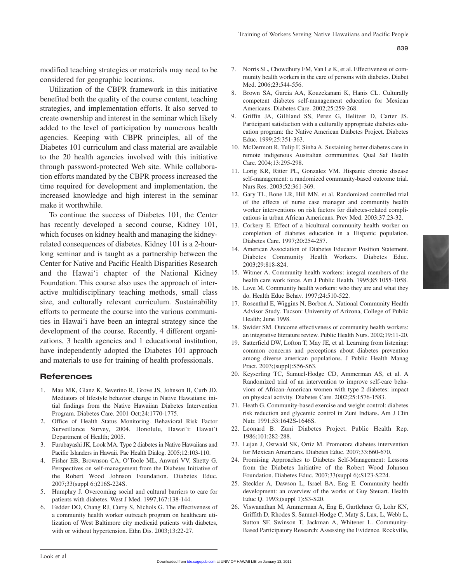modified teaching strategies or materials may need to be considered for geographic locations.

Utilization of the CBPR framework in this initiative benefited both the quality of the course content, teaching strategies, and implementation efforts. It also served to create ownership and interest in the seminar which likely added to the level of participation by numerous health agencies. Keeping with CBPR principles, all of the Diabetes 101 curriculum and class material are available to the 20 health agencies involved with this initiative through password-protected Web site. While collaboration efforts mandated by the CBPR process increased the time required for development and implementation, the increased knowledge and high interest in the seminar make it worthwhile.

To continue the success of Diabetes 101, the Center has recently developed a second course, Kidney 101, which focuses on kidney health and managing the kidneyrelated consequences of diabetes. Kidney 101 is a 2-hourlong seminar and is taught as a partnership between the Center for Native and Pacific Health Disparities Research and the Hawai'i chapter of the National Kidney Foundation. This course also uses the approach of interactive multidisciplinary teaching methods, small class size, and culturally relevant curriculum. Sustainability efforts to permeate the course into the various communities in Hawai'i have been an integral strategy since the development of the course. Recently, 4 different organizations, 3 health agencies and 1 educational institution, have independently adopted the Diabetes 101 approach and materials to use for training of health professionals.

#### **References**

- 1. Mau MK, Glanz K, Severino R, Grove JS, Johnson B, Curb JD. Mediators of lifestyle behavior change in Native Hawaiians: initial findings from the Native Hawaiian Diabetes Intervention Program. Diabetes Care. 2001 Oct;24:1770-1775.
- 2. Office of Health Status Monitoring. Behavioral Risk Factor Surveillance Survey, 2004. Honolulu, Hawai'i: Hawai'i Department of Health; 2005.
- 3. Furubayashi JK, Look MA. Type 2 diabetes in Native Hawaiians and Pacific Islanders in Hawaii. Pac Health Dialog. 2005;12:103-110.
- 4. Fisher EB, Brownson CA, O'Toole ML, Anwuri VV, Shetty G. Perspectives on self-management from the Diabetes Initiative of the Robert Wood Johnson Foundation. Diabetes Educ. 2007;33(suppl 6:)216S-224S.
- 5. Humphry J. Overcoming social and cultural barriers to care for patients with diabetes. West J Med. 1997;167:138-144.
- 6. Fedder DO, Chang RJ, Curry S, Nichols G. The effectiveness of a community health worker outreach program on healthcare utilization of West Baltimore city medicaid patients with diabetes, with or without hypertension. Ethn Dis. 2003;13:22-27.
- 7. Norris SL, Chowdhury FM, Van Le K, et al. Effectiveness of community health workers in the care of persons with diabetes. Diabet Med. 2006;23:544-556.
- 8. Brown SA, Garcia AA, Kouzekanani K, Hanis CL. Culturally competent diabetes self-management education for Mexican Americans. Diabetes Care. 2002;25:259-268.
- 9. Griffin JA, Gilliland SS, Perez G, Helitzer D, Carter JS. Participant satisfaction with a culturally appropriate diabetes education program: the Native American Diabetes Project. Diabetes Educ. 1999;25:351-363.
- 10. McDermott R, Tulip F, Sinha A. Sustaining better diabetes care in remote indigenous Australian communities. Qual Saf Health Care. 2004;13:295-298.
- 11. Lorig KR, Ritter PL, Gonzalez VM. Hispanic chronic disease self-management: a randomized community-based outcome trial. Nurs Res. 2003;52:361-369.
- 12. Gary TL, Bone LR, Hill MN, et al. Randomized controlled trial of the effects of nurse case manager and community health worker interventions on risk factors for diabetes-related complications in urban African Americans. Prev Med. 2003;37:23-32.
- 13. Corkery E. Effect of a bicultural community health worker on completion of diabetes education in a Hispanic population. Diabetes Care. 1997;20:254-257.
- 14. American Association of Diabetes Educator Position Statement. Diabetes Community Health Workers. Diabetes Educ. 2003;29:818-824.
- 15. Witmer A. Community health workers: integral members of the health care work force. Am J Public Health. 1995;85:1055-1058.
- 16. Love M. Community health workers: who they are and what they do. Health Educ Behav. 1997;24:510-522.
- 17. Rosenthal E, Wiggins N, Borbon A. National Community Health Advisor Study. Tucson: University of Arizona, College of Public Health; June 1998.
- 18. Swider SM. Outcome effectiveness of community health workers: an integrative literature review. Public Health Nurs. 2002;19:11-20.
- 19. Satterfield DW, Lofton T, May JE, et al. Learning from listening: common concerns and perceptions about diabetes prevention among diverse american populations. J Public Health Manag Pract. 2003;(suppl):S56-S63.
- 20. Keyserling TC, Samuel-Hodge CD, Ammerman AS, et al. A Randomized trial of an intervention to improve self-care behaviors of African-American women with type 2 diabetes: impact on physical activity. Diabetes Care. 2002;25:1576-1583.
- 21. Heath G. Community-based exercise and weight control: diabetes risk reduction and glycemic control in Zuni Indians. Am J Clin Nutr. 1991;53:1642S-1646S.
- 22. Leonard B. Zuni Diabetes Project. Public Health Rep. 1986;101:282-288.
- 23. Lujan J, Ostwald SK, Ortiz M. Promotora diabetes intervention for Mexican Americans. Diabetes Educ. 2007;33:660-670.
- 24. Promising Approaches to Diabetes Self-Management: Lessons from the Diabetes Initiative of the Robert Wood Johnson Foundation. Diabetes Educ. 2007;33(suppl 6):S123-S224.
- 25. Steckler A, Dawson L, Israel BA, Eng E. Community health development: an overview of the works of Guy Steuart. Health Educ Q. 1993;(suppl 1):S3-S20.
- 26. Viswanathan M, Ammerman A, Eng E, Gartlehner G, Lohr KN, Griffith D, Rhodes S, Samuel-Hodge C, Maty S, Lux, L, Webb L, Sutton SF, Swinson T, Jackman A, Whitener L. Community-Based Participatory Research: Assessing the Evidence. Rockville,